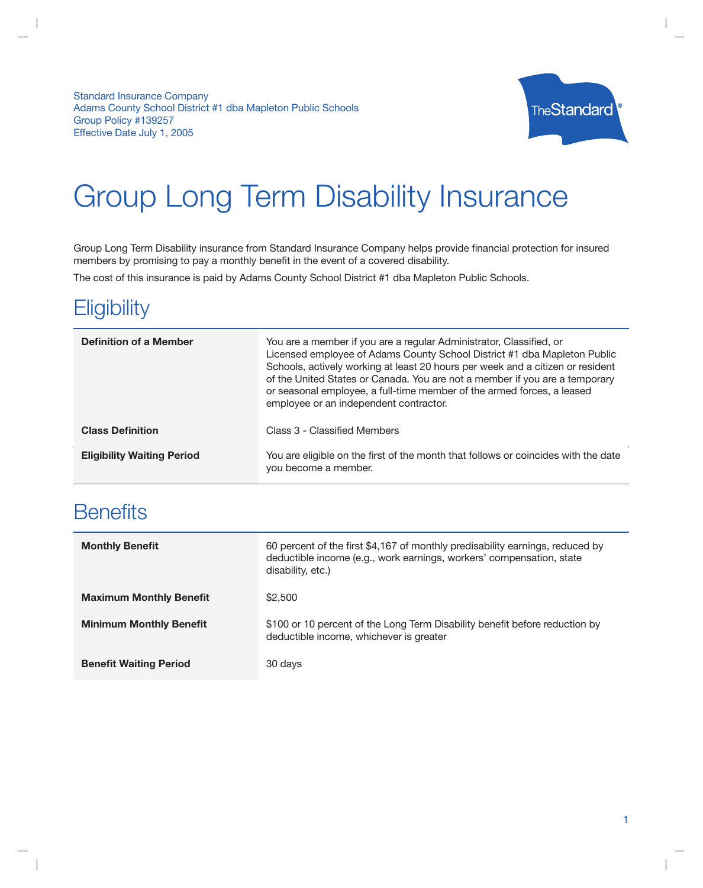**Standard Insurance Company** Adams County School District #1 dba Mapleton Public Schools Group Policy #139257 Effective Date July 1, 2005



# **Group Long Term Disability Insurance**

Group Long Term Disability insurance from Standard Insurance Company helps provide financial protection for insured members by promising to pay a monthly benefit in the event of a covered disability.

The cost of this insurance is paid by Adams County School District #1 dba Mapleton Public Schools.

## Eligibility

| <b>Definition of a Member</b>     | You are a member if you are a regular Administrator, Classified, or<br>Licensed employee of Adams County School District #1 dba Mapleton Public<br>Schools, actively working at least 20 hours per week and a citizen or resident<br>of the United States or Canada. You are not a member if you are a temporary<br>or seasonal employee, a full-time member of the armed forces, a leased<br>employee or an independent contractor. |
|-----------------------------------|--------------------------------------------------------------------------------------------------------------------------------------------------------------------------------------------------------------------------------------------------------------------------------------------------------------------------------------------------------------------------------------------------------------------------------------|
| <b>Class Definition</b>           | Class 3 - Classified Members                                                                                                                                                                                                                                                                                                                                                                                                         |
| <b>Eligibility Waiting Period</b> | You are eligible on the first of the month that follows or coincides with the date<br>you become a member.                                                                                                                                                                                                                                                                                                                           |

# **Benefits**

| <b>Monthly Benefit</b>         | 60 percent of the first \$4,167 of monthly predisability earnings, reduced by<br>deductible income (e.g., work earnings, workers' compensation, state<br>disability, etc.) |
|--------------------------------|----------------------------------------------------------------------------------------------------------------------------------------------------------------------------|
| <b>Maximum Monthly Benefit</b> | \$2,500                                                                                                                                                                    |
| <b>Minimum Monthly Benefit</b> | \$100 or 10 percent of the Long Term Disability benefit before reduction by<br>deductible income, whichever is greater                                                     |
| <b>Benefit Waiting Period</b>  | 30 days                                                                                                                                                                    |